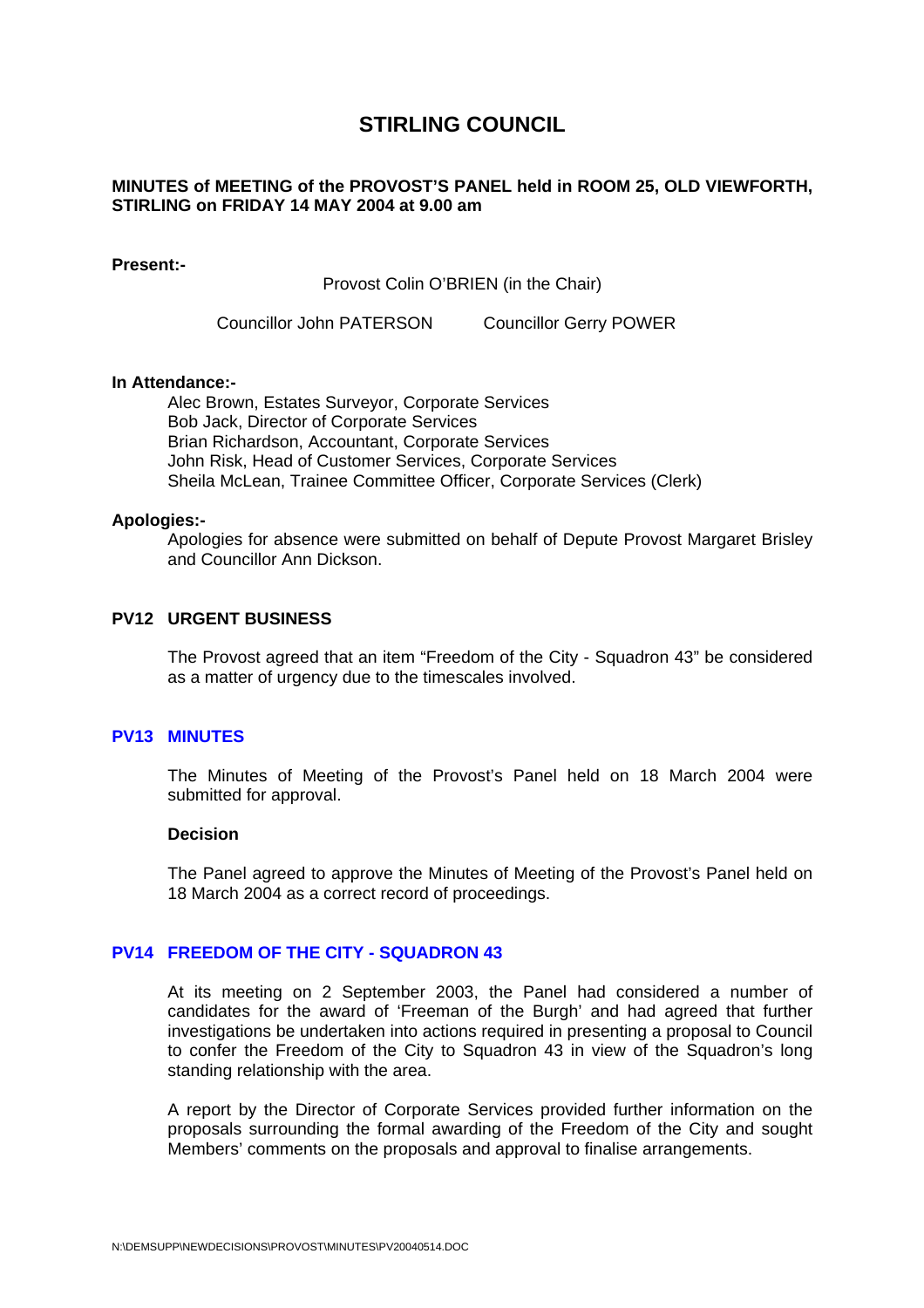# **STIRLING COUNCIL**

# <span id="page-0-0"></span>**MINUTES of MEETING of the PROVOST'S PANEL held in ROOM 25, OLD VIEWFORTH, STIRLING on FRIDAY 14 MAY 2004 at 9.00 am**

# **Present:-**

Provost Colin O'BRIEN (in the Chair)

Councillor John PATERSON Councillor Gerry POWER

# **In Attendance:-**

Alec Brown, Estates Surveyor, Corporate Services Bob Jack, Director of Corporate Services Brian Richardson, Accountant, Corporate Services John Risk, Head of Customer Services, Corporate Services Sheila McLean, Trainee Committee Officer, Corporate Services (Clerk)

#### **Apologies:-**

Apologies for absence were submitted on behalf of Depute Provost Margaret Brisley and Councillor Ann Dickson.

# **PV12 URGENT BUSINESS**

The Provost agreed that an item "Freedom of the City - Squadron 43" be considered as a matter of urgency due to the timescales involved.

# **PV13 MINUTES**

The Minutes of Meeting of the Provost's Panel held on 18 March 2004 were submitted for approval.

#### **Decision**

The Panel agreed to approve the Minutes of Meeting of the Provost's Panel held on 18 March 2004 as a correct record of proceedings.

# **PV14 FREEDOM OF THE CITY - SQUADRON 43**

At its meeting on 2 September 2003, the Panel had considered a number of candidates for the award of 'Freeman of the Burgh' and had agreed that further investigations be undertaken into actions required in presenting a proposal to Council to confer the Freedom of the City to Squadron 43 in view of the Squadron's long standing relationship with the area.

A report by the Director of Corporate Services provided further information on the proposals surrounding the formal awarding of the Freedom of the City and sought Members' comments on the proposals and approval to finalise arrangements.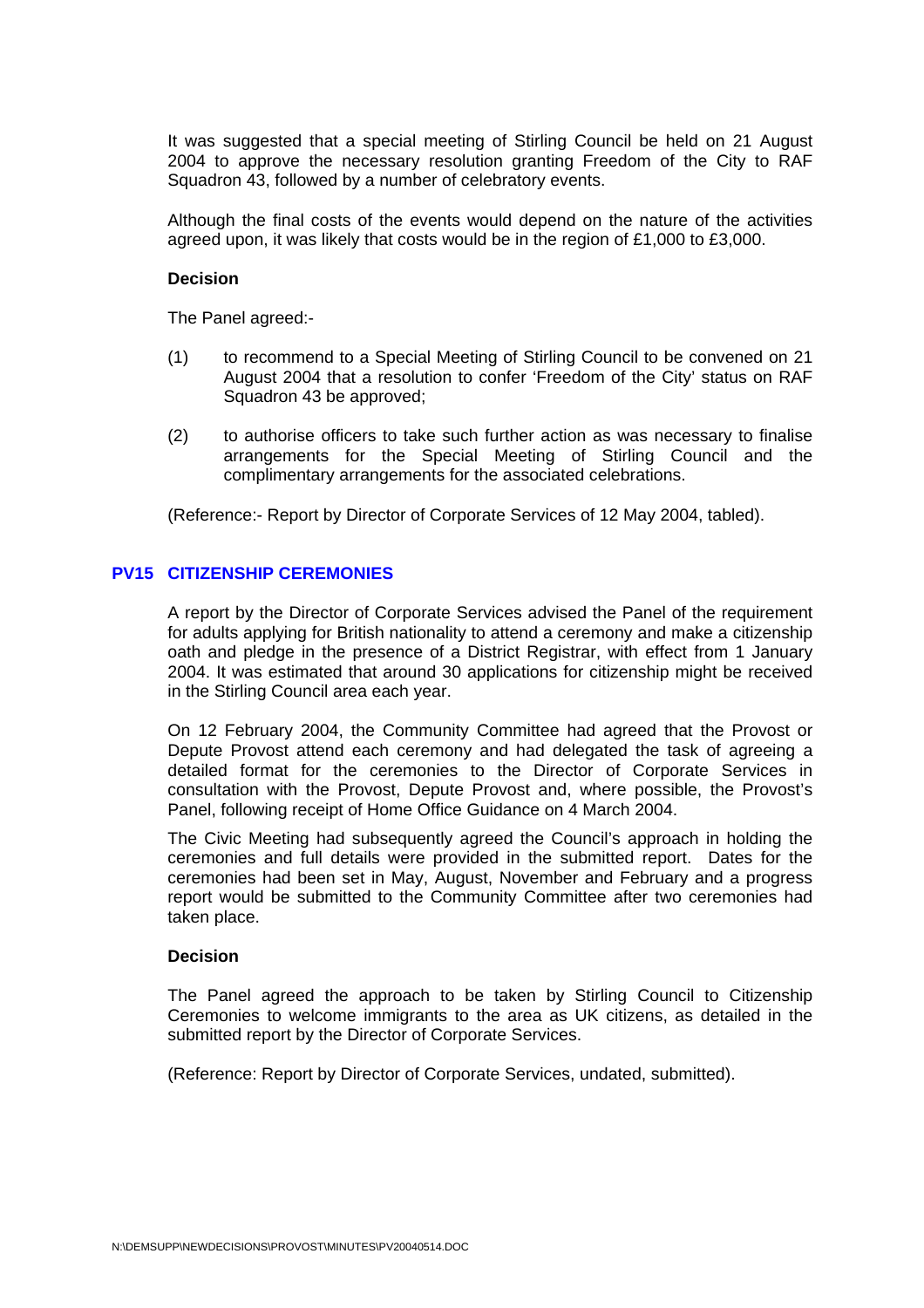It was suggested that a special meeting of Stirling Council be held on 21 August 2004 to approve the necessary resolution granting Freedom of the City to RAF Squadron 43, followed by a number of celebratory events.

Although the final costs of the events would depend on the nature of the activities agreed upon, it was likely that costs would be in the region of £1,000 to £3,000.

#### **Decision**

The Panel agreed:-

- (1) to recommend to a Special Meeting of Stirling Council to be convened on 21 August 2004 that a resolution to confer 'Freedom of the City' status on RAF Squadron 43 be approved;
- (2) to authorise officers to take such further action as was necessary to finalise arrangements for the Special Meeting of Stirling Council and the complimentary arrangements for the associated celebrations.

(Reference:- Report by Director of Corporate Services of 12 May 2004, tabled).

# **[PV15 CITIZENSHIP CEREMONIES](#page-0-0)**

A report by the Director of Corporate Services advised the Panel of the requirement for adults applying for British nationality to attend a ceremony and make a citizenship oath and pledge in the presence of a District Registrar, with effect from 1 January 2004. It was estimated that around 30 applications for citizenship might be received in the Stirling Council area each year.

On 12 February 2004, the Community Committee had agreed that the Provost or Depute Provost attend each ceremony and had delegated the task of agreeing a detailed format for the ceremonies to the Director of Corporate Services in consultation with the Provost, Depute Provost and, where possible, the Provost's Panel, following receipt of Home Office Guidance on 4 March 2004.

The Civic Meeting had subsequently agreed the Council's approach in holding the ceremonies and full details were provided in the submitted report. Dates for the ceremonies had been set in May, August, November and February and a progress report would be submitted to the Community Committee after two ceremonies had taken place.

#### **Decision**

The Panel agreed the approach to be taken by Stirling Council to Citizenship Ceremonies to welcome immigrants to the area as UK citizens, as detailed in the submitted report by the Director of Corporate Services.

(Reference: Report by Director of Corporate Services, undated, submitted).